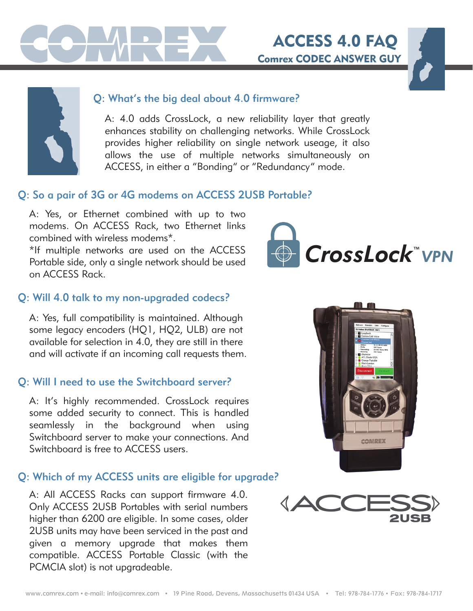

## Q: What's the big deal about 4.0 firmware?

A: 4.0 adds CrossLock, a new reliability layer that greatly enhances stability on challenging networks. While CrossLock provides higher reliability on single network useage, it also allows the use of multiple networks simultaneously on ACCESS, in either a "Bonding" or "Redundancy" mode.

## Q: So a pair of 3G or 4G modems on ACCESS 2USB Portable?

A: Yes, or Ethernet combined with up to two modems. On ACCESS Rack, two Ethernet links combined with wireless modems\*.

\*If multiple networks are used on the ACCESS Portable side, only a single network should be used on ACCESS Rack.



Comrex CODEC ANSWER GUY

ACCESS 4.0 FAQ

### Q: Will 4.0 talk to my non-upgraded codecs?

A: Yes, full compatibility is maintained. Although some legacy encoders (HQ1, HQ2, ULB) are not available for selection in 4.0, they are still in there and will activate if an incoming call requests them.

### Q: Will I need to use the Switchboard server?

A: It's highly recommended. CrossLock requires some added security to connect. This is handled seamlessly in the background when using Switchboard server to make your connections. And Switchboard is free to ACCESS users.

### Q: Which of my ACCESS units are eligible for upgrade?

A: All ACCESS Racks can support firmware 4.0. Only ACCESS 2USB Portables with serial numbers higher than 6200 are eligible. In some cases, older 2USB units may have been serviced in the past and given a memory upgrade that makes them compatible. ACCESS Portable Classic (with the PCMCIA slot) is not upgradeable.